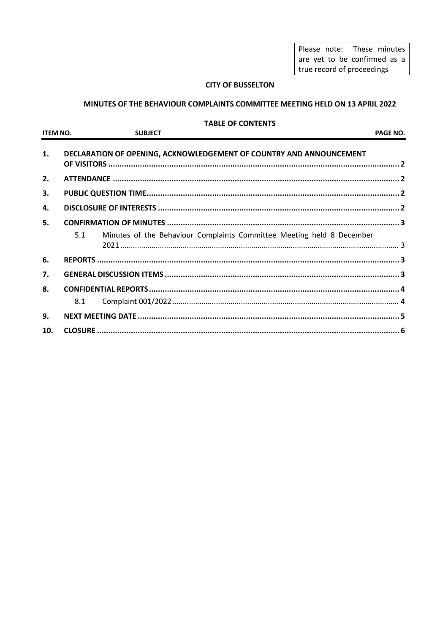Please note: These minutes are yet to be confirmed as a true record of proceedings

## **CITY OF BUSSELTON**

# MINUTES OF THE BEHAVIOUR COMPLAINTS COMMITTEE MEETING HELD ON 13 APRIL 2022

#### **TABLE OF CONTENTS**

| <b>ITEM NO.</b> | <b>SUBJECT</b>                                                               | <b>PAGE NO.</b> |
|-----------------|------------------------------------------------------------------------------|-----------------|
| 1.              | DECLARATION OF OPENING, ACKNOWLEDGEMENT OF COUNTRY AND ANNOUNCEMENT          |                 |
| 2.              |                                                                              |                 |
| 3.              |                                                                              |                 |
| 4.              |                                                                              |                 |
| 5.              |                                                                              |                 |
|                 | Minutes of the Behaviour Complaints Committee Meeting held 8 December<br>5.1 |                 |
| 6.              |                                                                              |                 |
| 7.              |                                                                              |                 |
| 8.              |                                                                              |                 |
|                 | 8.1                                                                          |                 |
| 9.              |                                                                              |                 |
| 10.             |                                                                              |                 |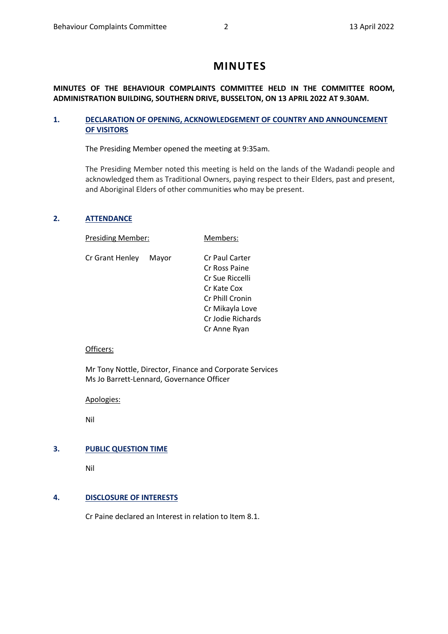# **MINUTES**

# **MINUTES OF THE BEHAVIOUR COMPLAINTS COMMITTEE HELD IN THE COMMITTEE ROOM, ADMINISTRATION BUILDING, SOUTHERN DRIVE, BUSSELTON, ON 13 APRIL 2022 AT 9.30AM.**

# <span id="page-1-0"></span>**1. DECLARATION OF OPENING, ACKNOWLEDGEMENT OF COUNTRY AND ANNOUNCEMENT OF VISITORS**

The Presiding Member opened the meeting at 9:35am.

The Presiding Member noted this meeting is held on the lands of the Wadandi people and acknowledged them as Traditional Owners, paying respect to their Elders, past and present, and Aboriginal Elders of other communities who may be present.

## <span id="page-1-1"></span>**2. ATTENDANCE**

Presiding Member: Members:

Cr Grant Henley Mayor Cr Paul Carter

Cr Ross Paine Cr Sue Riccelli Cr Kate Cox Cr Phill Cronin Cr Mikayla Love Cr Jodie Richards Cr Anne Ryan

## Officers:

Mr Tony Nottle, Director, Finance and Corporate Services Ms Jo Barrett-Lennard, Governance Officer

Apologies:

Nil

# <span id="page-1-2"></span>**3. PUBLIC QUESTION TIME**

Nil

## <span id="page-1-3"></span>**4. DISCLOSURE OF INTERESTS**

Cr Paine declared an Interest in relation to Item 8.1.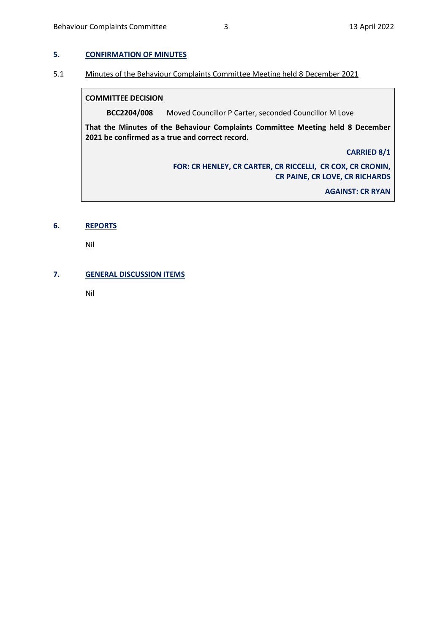#### <span id="page-2-0"></span>**5. CONFIRMATION OF MINUTES**

#### <span id="page-2-1"></span>5.1 Minutes of the Behaviour Complaints Committee Meeting held 8 December 2021

#### **COMMITTEE DECISION**

**BCC2204/008** Moved Councillor P Carter, seconded Councillor M Love

**That the Minutes of the Behaviour Complaints Committee Meeting held 8 December 2021 be confirmed as a true and correct record.**

**CARRIED 8/1**

**FOR: CR HENLEY, CR CARTER, CR RICCELLI, CR COX, CR CRONIN, CR PAINE, CR LOVE, CR RICHARDS**

**AGAINST: CR RYAN**

## <span id="page-2-2"></span>**6. REPORTS**

Nil

# <span id="page-2-3"></span>**7. GENERAL DISCUSSION ITEMS**

Nil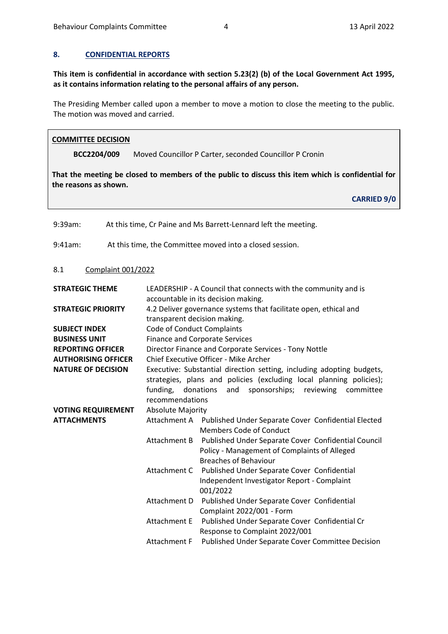#### <span id="page-3-0"></span>**8. CONFIDENTIAL REPORTS**

**This item is confidential in accordance with section 5.23(2) (b) of the Local Government Act 1995, as it contains information relating to the personal affairs of any person.**

The Presiding Member called upon a member to move a motion to close the meeting to the public. The motion was moved and carried.

#### **COMMITTEE DECISION**

**BCC2204/009** Moved Councillor P Carter, seconded Councillor P Cronin

**That the meeting be closed to members of the public to discuss this item which is confidential for the reasons as shown.** 

**CARRIED 9/0**

<span id="page-3-1"></span>9:39am: At this time, Cr Paine and Ms Barrett-Lennard left the meeting. 9:41am: At this time, the Committee moved into a closed session. 8.1 Complaint 001/2022 **STRATEGIC THEME** LEADERSHIP - A Council that connects with the community and is accountable in its decision making. **STRATEGIC PRIORITY** 4.2 Deliver governance systems that facilitate open, ethical and transparent decision making. **SUBJECT INDEX** Code of Conduct Complaints **BUSINESS UNIT** Finance and Corporate Services **REPORTING OFFICER** Director Finance and Corporate Services - Tony Nottle **AUTHORISING OFFICER** Chief Executive Officer - Mike Archer **NATURE OF DECISION** Executive: Substantial direction setting, including adopting budgets, strategies, plans and policies (excluding local planning policies); funding, donations and sponsorships; reviewing committee recommendations **VOTING REQUIREMENT** Absolute Majority **ATTACHMENTS** Attachment A Published Under Separate Cover Confidential Elected Members Code of Conduct Attachment B Published Under Separate Cover Confidential Council Policy - Management of Complaints of Alleged Breaches of Behaviour Attachment C Published Under Separate Cover Confidential Independent Investigator Report - Complaint 001/2022 Attachment D Published Under Separate Cover Confidential Complaint 2022/001 - Form Attachment E Published Under Separate Cover Confidential Cr Response to Complaint 2022/001 Attachment F Published Under Separate Cover Committee Decision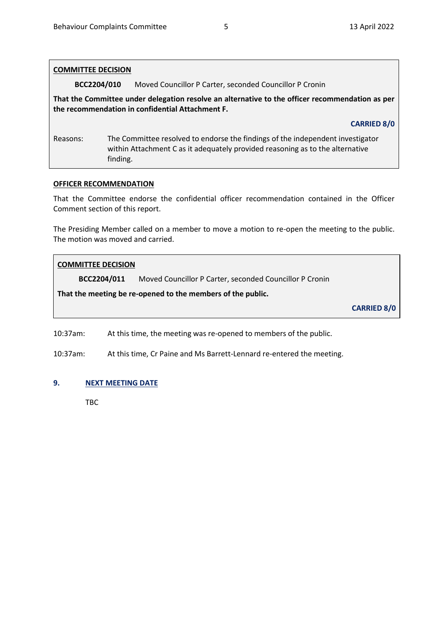| <b>COMMITTEE DECISION</b>                                                                                                                           |                                                                                                                                                                             |  |  |
|-----------------------------------------------------------------------------------------------------------------------------------------------------|-----------------------------------------------------------------------------------------------------------------------------------------------------------------------------|--|--|
| BCC2204/010                                                                                                                                         | Moved Councillor P Carter, seconded Councillor P Cronin                                                                                                                     |  |  |
| That the Committee under delegation resolve an alternative to the officer recommendation as per<br>the recommendation in confidential Attachment F. |                                                                                                                                                                             |  |  |
|                                                                                                                                                     | <b>CARRIED 8/0</b>                                                                                                                                                          |  |  |
| Reasons:                                                                                                                                            | The Committee resolved to endorse the findings of the independent investigator<br>within Attachment C as it adequately provided reasoning as to the alternative<br>finding. |  |  |

#### **OFFICER RECOMMENDATION**

That the Committee endorse the confidential officer recommendation contained in the Officer Comment section of this report.

The Presiding Member called on a member to move a motion to re-open the meeting to the public. The motion was moved and carried.

## **COMMITTEE DECISION**

**BCC2204/011** Moved Councillor P Carter, seconded Councillor P Cronin

**That the meeting be re-opened to the members of the public.** 

**CARRIED 8/0**

10:37am: At this time, the meeting was re-opened to members of the public.

10:37am: At this time, Cr Paine and Ms Barrett-Lennard re-entered the meeting.

# <span id="page-4-0"></span>**9. NEXT MEETING DATE**

TBC